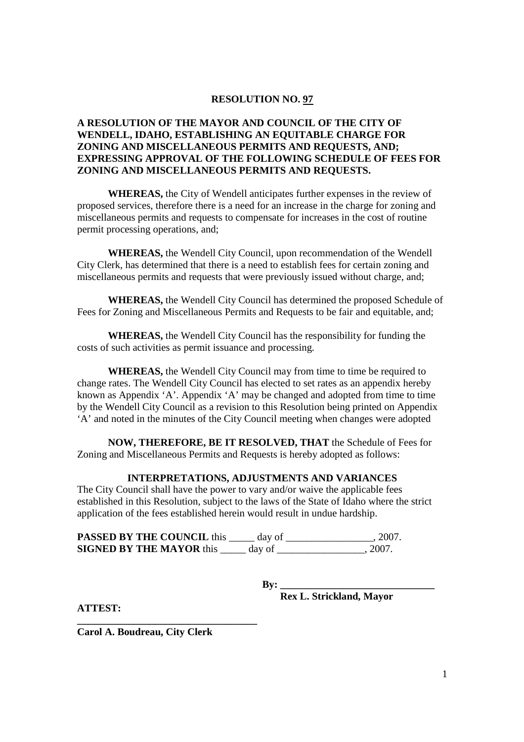### **RESOLUTION NO. 97**

## **A RESOLUTION OF THE MAYOR AND COUNCIL OF THE CITY OF WENDELL, IDAHO, ESTABLISHING AN EQUITABLE CHARGE FOR ZONING AND MISCELLANEOUS PERMITS AND REQUESTS, AND; EXPRESSING APPROVAL OF THE FOLLOWING SCHEDULE OF FEES FOR ZONING AND MISCELLANEOUS PERMITS AND REQUESTS.**

 **WHEREAS,** the City of Wendell anticipates further expenses in the review of proposed services, therefore there is a need for an increase in the charge for zoning and miscellaneous permits and requests to compensate for increases in the cost of routine permit processing operations, and;

 **WHEREAS,** the Wendell City Council, upon recommendation of the Wendell City Clerk, has determined that there is a need to establish fees for certain zoning and miscellaneous permits and requests that were previously issued without charge, and;

**WHEREAS,** the Wendell City Council has determined the proposed Schedule of Fees for Zoning and Miscellaneous Permits and Requests to be fair and equitable, and;

**WHEREAS,** the Wendell City Council has the responsibility for funding the costs of such activities as permit issuance and processing.

 **WHEREAS,** the Wendell City Council may from time to time be required to change rates. The Wendell City Council has elected to set rates as an appendix hereby known as Appendix 'A'. Appendix 'A' may be changed and adopted from time to time by the Wendell City Council as a revision to this Resolution being printed on Appendix 'A' and noted in the minutes of the City Council meeting when changes were adopted

**NOW, THEREFORE, BE IT RESOLVED, THAT** the Schedule of Fees for Zoning and Miscellaneous Permits and Requests is hereby adopted as follows:

#### **INTERPRETATIONS, ADJUSTMENTS AND VARIANCES**

The City Council shall have the power to vary and/or waive the applicable fees established in this Resolution, subject to the laws of the State of Idaho where the strict application of the fees established herein would result in undue hardship.

**PASSED BY THE COUNCIL** this \_\_\_\_\_ day of \_\_\_\_\_\_\_\_\_\_\_\_\_\_\_, 2007. **SIGNED BY THE MAYOR** this \_\_\_\_\_ day of \_\_\_\_\_\_\_\_\_\_\_\_\_\_\_\_, 2007.

**By: \_\_\_\_\_\_\_\_\_\_\_\_\_\_\_\_\_\_\_\_\_\_\_\_\_\_\_\_\_\_** 

 **Rex L. Strickland, Mayor** 

**ATTEST:** 

**Carol A. Boudreau, City Clerk** 

**\_\_\_\_\_\_\_\_\_\_\_\_\_\_\_\_\_\_\_\_\_\_\_\_\_\_\_\_\_\_\_\_\_\_\_**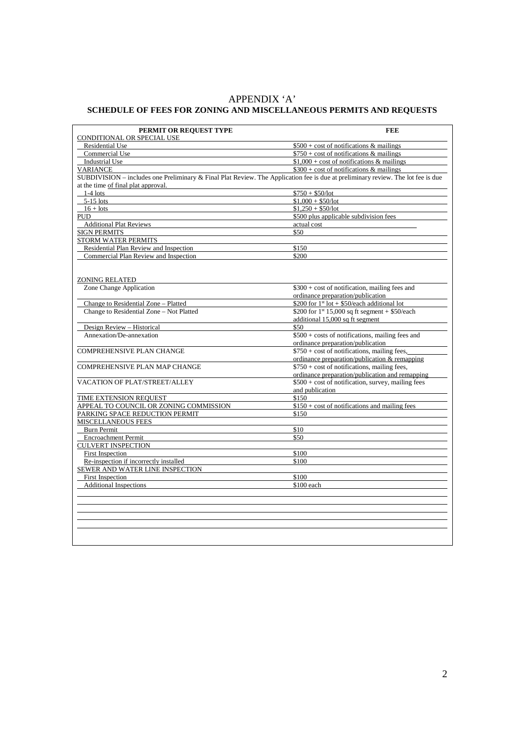# APPENDIX 'A' **SCHEDULE OF FEES FOR ZONING AND MISCELLANEOUS PERMITS AND REQUESTS**

| PERMIT OR REQUEST TYPE                                                                                                           | <b>FEE</b>                                               |  |  |
|----------------------------------------------------------------------------------------------------------------------------------|----------------------------------------------------------|--|--|
| CONDITIONAL OR SPECIAL USE                                                                                                       |                                                          |  |  |
| <b>Residential Use</b>                                                                                                           | $$500 + cost$ of notifications & mailings                |  |  |
| Commercial Use                                                                                                                   | $$750 + cost of notifications & mailings$                |  |  |
| <b>Industrial Use</b>                                                                                                            | $$1,000 + cost$ of notifications & mailings              |  |  |
| <b>VARIANCE</b>                                                                                                                  | $$300 + cost$ of notifications & mailings                |  |  |
| SUBDIVISION – includes one Preliminary & Final Plat Review. The Application fee is due at preliminary review. The lot fee is due |                                                          |  |  |
| at the time of final plat approval.                                                                                              |                                                          |  |  |
| $1-4$ lots                                                                                                                       | $$750 + $50/lot$                                         |  |  |
| $5-15$ lots                                                                                                                      | $$1,000 + $50/lot$                                       |  |  |
| $16 + \text{lots}$                                                                                                               | $$1,250 + $50/lot$                                       |  |  |
| <b>PUD</b>                                                                                                                       | \$500 plus applicable subdivision fees                   |  |  |
| <b>Additional Plat Reviews</b>                                                                                                   | actual cost                                              |  |  |
| <b>SIGN PERMITS</b>                                                                                                              | \$50                                                     |  |  |
| <b>STORM WATER PERMITS</b>                                                                                                       |                                                          |  |  |
| Residential Plan Review and Inspection                                                                                           | \$150                                                    |  |  |
| Commercial Plan Review and Inspection                                                                                            | \$200                                                    |  |  |
|                                                                                                                                  |                                                          |  |  |
|                                                                                                                                  |                                                          |  |  |
| <b>ZONING RELATED</b>                                                                                                            |                                                          |  |  |
| Zone Change Application                                                                                                          | $$300 + cost$ of notification, mailing fees and          |  |  |
|                                                                                                                                  | ordinance preparation/publication                        |  |  |
| Change to Residential Zone - Platted                                                                                             | \$200 for $1^{\text{st}}$ lot + \$50/each additional lot |  |  |
| Change to Residential Zone - Not Platted                                                                                         | \$200 for $1^{st}$ 15,000 sq ft segment + \$50/each      |  |  |
|                                                                                                                                  | additional 15,000 sq ft segment                          |  |  |
| Design Review - Historical                                                                                                       | \$50                                                     |  |  |
| Annexation/De-annexation                                                                                                         | \$500 + costs of notifications, mailing fees and         |  |  |
|                                                                                                                                  | ordinance preparation/publication                        |  |  |
| <b>COMPREHENSIVE PLAN CHANGE</b>                                                                                                 | $$750 + cost of notifications, mailing fees,$            |  |  |
|                                                                                                                                  | ordinance preparation/publication & remapping            |  |  |
| <b>COMPREHENSIVE PLAN MAP CHANGE</b>                                                                                             | $$750 + cost of notifications, mailing fees,$            |  |  |
|                                                                                                                                  | ordinance preparation/publication and remapping          |  |  |
| <b>VACATION OF PLAT/STREET/ALLEY</b>                                                                                             | $$500 + cost of notification, survey, mailing fees$      |  |  |
|                                                                                                                                  | and publication                                          |  |  |
| TIME EXTENSION REQUEST                                                                                                           | \$150                                                    |  |  |
| APPEAL TO COUNCIL OR ZONING COMMISSION                                                                                           | $$150 + cost of notifications and mailing fees$          |  |  |
| PARKING SPACE REDUCTION PERMIT                                                                                                   | \$150                                                    |  |  |
| <b>MISCELLANEOUS FEES</b>                                                                                                        |                                                          |  |  |
| Burn Permit                                                                                                                      | \$10                                                     |  |  |
| <b>Encroachment Permit</b>                                                                                                       | \$50                                                     |  |  |
| <b>CULVERT INSPECTION</b>                                                                                                        |                                                          |  |  |
| First Inspection                                                                                                                 | \$100                                                    |  |  |
| Re-inspection if incorrectly installed                                                                                           | \$100                                                    |  |  |
| SEWER AND WATER LINE INSPECTION                                                                                                  |                                                          |  |  |
| First Inspection                                                                                                                 | \$100                                                    |  |  |
| <b>Additional Inspections</b>                                                                                                    | \$100 each                                               |  |  |
|                                                                                                                                  |                                                          |  |  |
|                                                                                                                                  |                                                          |  |  |
|                                                                                                                                  |                                                          |  |  |
|                                                                                                                                  |                                                          |  |  |
|                                                                                                                                  |                                                          |  |  |
|                                                                                                                                  |                                                          |  |  |
|                                                                                                                                  |                                                          |  |  |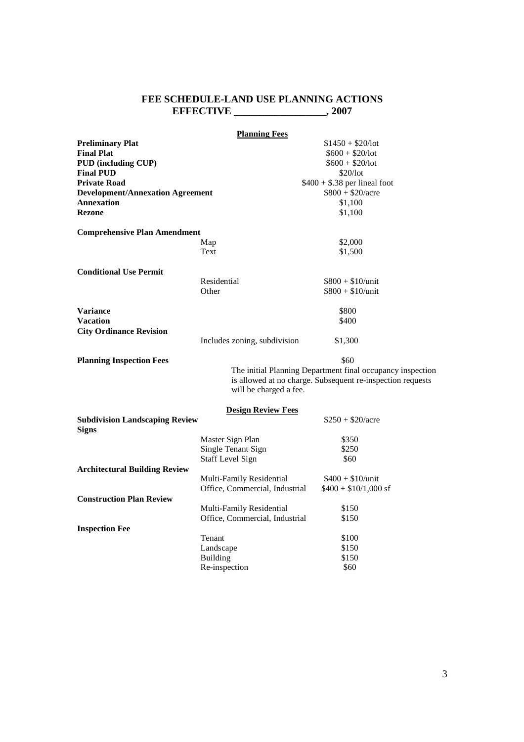#### **FEE SCHEDULE-LAND USE PLANNING ACTIONS EFFECTIVE \_\_\_\_\_\_\_\_\_\_\_\_\_\_\_\_\_\_, 2007**

|                                                       | <b>Planning Fees</b>           |                                                                                                                                  |
|-------------------------------------------------------|--------------------------------|----------------------------------------------------------------------------------------------------------------------------------|
| <b>Preliminary Plat</b>                               |                                | $$1450 + $20/lot$                                                                                                                |
| <b>Final Plat</b>                                     |                                | $$600 + $20/lot$                                                                                                                 |
| <b>PUD</b> (including CUP)                            |                                | $$600 + $20/lot$                                                                                                                 |
| <b>Final PUD</b>                                      |                                | \$20/lot                                                                                                                         |
| Private Road                                          |                                | $$400 + $.38$ per lineal foot                                                                                                    |
| <b>Development/Annexation Agreement</b>               |                                | $$800 + $20/acre$                                                                                                                |
| <b>Annexation</b>                                     |                                | \$1,100                                                                                                                          |
| <b>Rezone</b>                                         |                                | \$1,100                                                                                                                          |
| <b>Comprehensive Plan Amendment</b>                   |                                |                                                                                                                                  |
|                                                       | Map                            | \$2,000                                                                                                                          |
|                                                       | Text                           | \$1,500                                                                                                                          |
| <b>Conditional Use Permit</b>                         |                                |                                                                                                                                  |
|                                                       | Residential                    | $$800 + $10/$ unit                                                                                                               |
|                                                       | Other                          | $$800 + $10/$ unit                                                                                                               |
| <b>Variance</b>                                       |                                | \$800                                                                                                                            |
| <b>Vacation</b>                                       |                                | \$400                                                                                                                            |
| <b>City Ordinance Revision</b>                        |                                |                                                                                                                                  |
|                                                       | Includes zoning, subdivision   | \$1,300                                                                                                                          |
| <b>Planning Inspection Fees</b>                       | will be charged a fee.         | \$60<br>The initial Planning Department final occupancy inspection<br>is allowed at no charge. Subsequent re-inspection requests |
|                                                       | <b>Design Review Fees</b>      |                                                                                                                                  |
| <b>Subdivision Landscaping Review</b><br><b>Signs</b> |                                | $$250 + $20/acre$                                                                                                                |
|                                                       | Master Sign Plan               | \$350                                                                                                                            |
|                                                       | Single Tenant Sign             | \$250                                                                                                                            |
|                                                       | Staff Level Sign               | \$60                                                                                                                             |
| <b>Architectural Building Review</b>                  |                                |                                                                                                                                  |
|                                                       | Multi-Family Residential       | $$400 + $10/$ unit                                                                                                               |
|                                                       | Office, Commercial, Industrial | $$400 + $10/1,000 \text{ sf}$                                                                                                    |
| <b>Construction Plan Review</b>                       |                                |                                                                                                                                  |
|                                                       | Multi-Family Residential       | \$150                                                                                                                            |
|                                                       | Office, Commercial, Industrial | \$150                                                                                                                            |
| <b>Inspection Fee</b>                                 |                                |                                                                                                                                  |
|                                                       | Tenant                         | \$100                                                                                                                            |
|                                                       | Landscape                      | \$150                                                                                                                            |
|                                                       | <b>Building</b>                | \$150                                                                                                                            |
|                                                       | Re-inspection                  | \$60                                                                                                                             |